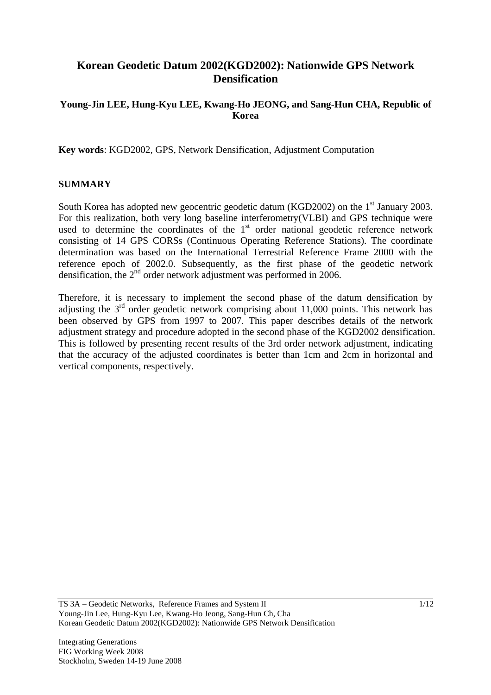# **Korean Geodetic Datum 2002(KGD2002): Nationwide GPS Network Densification**

### **Young-Jin LEE, Hung-Kyu LEE, Kwang-Ho JEONG, and Sang-Hun CHA, Republic of Korea**

**Key words**: KGD2002, GPS, Network Densification, Adjustment Computation

#### **SUMMARY**

South Korea has adopted new geocentric geodetic datum (KGD2002) on the  $1<sup>st</sup>$  January 2003. For this realization, both very long baseline interferometry(VLBI) and GPS technique were used to determine the coordinates of the  $1<sup>st</sup>$  order national geodetic reference network consisting of 14 GPS CORSs (Continuous Operating Reference Stations). The coordinate determination was based on the International Terrestrial Reference Frame 2000 with the reference epoch of 2002.0. Subsequently, as the first phase of the geodetic network densification, the 2<sup>nd</sup> order network adjustment was performed in 2006.

Therefore, it is necessary to implement the second phase of the datum densification by adjusting the  $3<sup>rd</sup>$  order geodetic network comprising about 11,000 points. This network has been observed by GPS from 1997 to 2007. This paper describes details of the network adjustment strategy and procedure adopted in the second phase of the KGD2002 densification. This is followed by presenting recent results of the 3rd order network adjustment, indicating that the accuracy of the adjusted coordinates is better than 1cm and 2cm in horizontal and vertical components, respectively.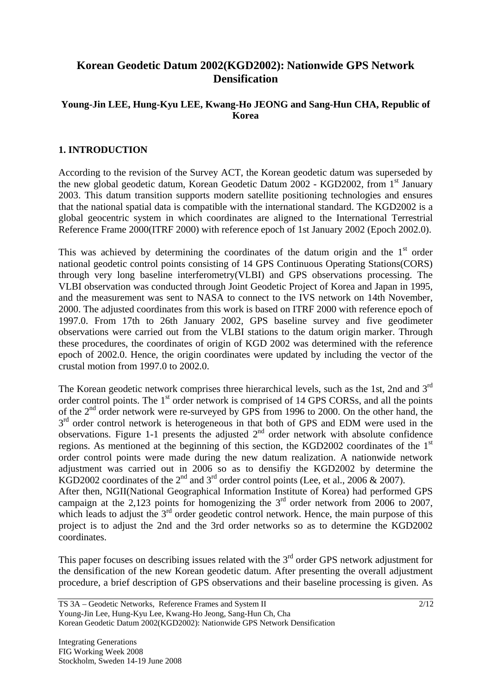# **Korean Geodetic Datum 2002(KGD2002): Nationwide GPS Network Densification**

### **Young-Jin LEE, Hung-Kyu LEE, Kwang-Ho JEONG and Sang-Hun CHA, Republic of Korea**

### **1. INTRODUCTION**

According to the revision of the Survey ACT, the Korean geodetic datum was superseded by the new global geodetic datum, Korean Geodetic Datum 2002 - KGD2002, from 1<sup>st</sup> January 2003. This datum transition supports modern satellite positioning technologies and ensures that the national spatial data is compatible with the international standard. The KGD2002 is a global geocentric system in which coordinates are aligned to the International Terrestrial Reference Frame 2000(ITRF 2000) with reference epoch of 1st January 2002 (Epoch 2002.0).

This was achieved by determining the coordinates of the datum origin and the  $1<sup>st</sup>$  order national geodetic control points consisting of 14 GPS Continuous Operating Stations(CORS) through very long baseline interferometry(VLBI) and GPS observations processing. The VLBI observation was conducted through Joint Geodetic Project of Korea and Japan in 1995, and the measurement was sent to NASA to connect to the IVS network on 14th November, 2000. The adjusted coordinates from this work is based on ITRF 2000 with reference epoch of 1997.0. From 17th to 26th January 2002, GPS baseline survey and five geodimeter observations were carried out from the VLBI stations to the datum origin marker. Through these procedures, the coordinates of origin of KGD 2002 was determined with the reference epoch of 2002.0. Hence, the origin coordinates were updated by including the vector of the crustal motion from 1997.0 to 2002.0.

The Korean geodetic network comprises three hierarchical levels, such as the 1st, 2nd and 3<sup>rd</sup> order control points. The 1<sup>st</sup> order network is comprised of 14 GPS CORSs, and all the points of the  $2<sup>nd</sup>$  order network were re-surveyed by GPS from 1996 to 2000. On the other hand, the  $3<sup>rd</sup>$  order control network is heterogeneous in that both of GPS and EDM were used in the observations. Figure 1-1 presents the adjusted  $2<sup>nd</sup>$  order network with absolute confidence regions. As mentioned at the beginning of this section, the KGD2002 coordinates of the  $1<sup>st</sup>$ order control points were made during the new datum realization. A nationwide network adjustment was carried out in 2006 so as to densifiy the KGD2002 by determine the KGD2002 coordinates of the  $2<sup>nd</sup>$  and  $3<sup>rd</sup>$  order control points (Lee, et al., 2006 & 2007). After then, NGII(National Geographical Information Institute of Korea) had performed GPS campaign at the  $2,123$  points for homogenizing the  $3<sup>rd</sup>$  order network from 2006 to 2007, which leads to adjust the  $3<sup>rd</sup>$  order geodetic control network. Hence, the main purpose of this project is to adjust the 2nd and the 3rd order networks so as to determine the KGD2002 coordinates.

This paper focuses on describing issues related with the  $3<sup>rd</sup>$  order GPS network adjustment for the densification of the new Korean geodetic datum. After presenting the overall adjustment procedure, a brief description of GPS observations and their baseline processing is given. As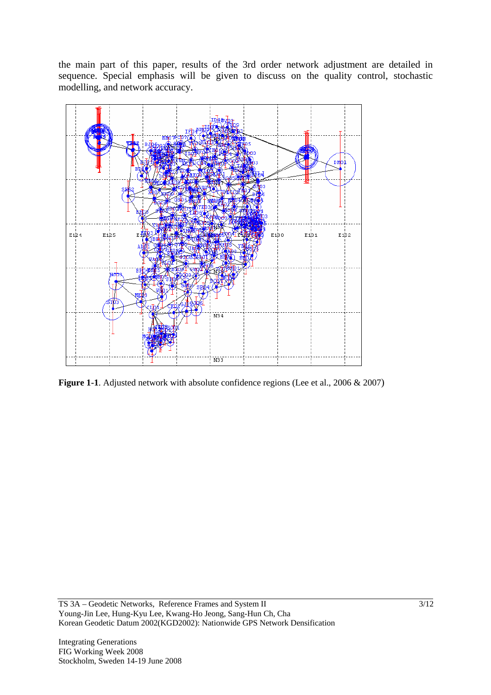the main part of this paper, results of the 3rd order network adjustment are detailed in sequence. Special emphasis will be given to discuss on the quality control, stochastic modelling, and network accuracy.



**Figure 1-1**. Adjusted network with absolute confidence regions (Lee et al., 2006 & 2007)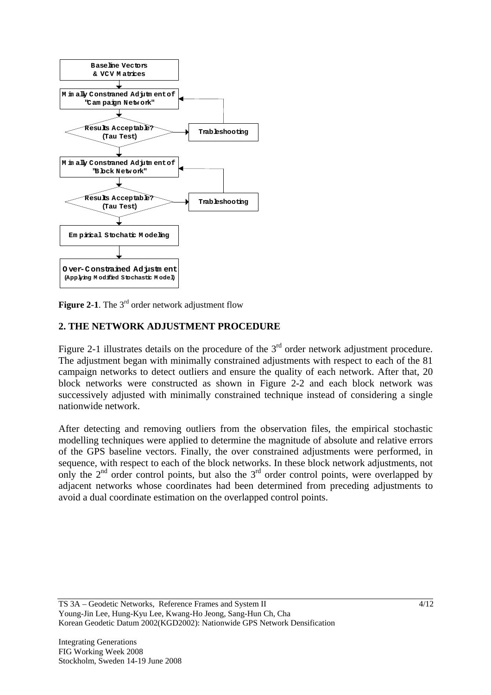

**Figure 2-1**. The  $3<sup>rd</sup>$  order network adjustment flow

### **2. THE NETWORK ADJUSTMENT PROCEDURE**

Figure 2-1 illustrates details on the procedure of the  $3<sup>rd</sup>$  order network adjustment procedure. The adjustment began with minimally constrained adjustments with respect to each of the 81 campaign networks to detect outliers and ensure the quality of each network. After that, 20 block networks were constructed as shown in Figure 2-2 and each block network was successively adjusted with minimally constrained technique instead of considering a single nationwide network.

After detecting and removing outliers from the observation files, the empirical stochastic modelling techniques were applied to determine the magnitude of absolute and relative errors of the GPS baseline vectors. Finally, the over constrained adjustments were performed, in sequence, with respect to each of the block networks. In these block network adjustments, not only the  $2<sup>nd</sup>$  order control points, but also the  $3<sup>rd</sup>$  order control points, were overlapped by adjacent networks whose coordinates had been determined from preceding adjustments to avoid a dual coordinate estimation on the overlapped control points.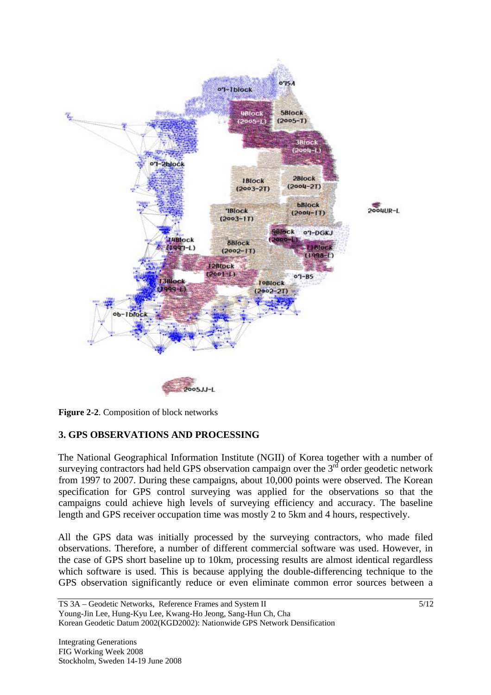

**Figure 2-2**. Composition of block networks

## **3. GPS OBSERVATIONS AND PROCESSING**

The National Geographical Information Institute (NGII) of Korea together with a number of surveying contractors had held GPS observation campaign over the  $3<sup>rd</sup>$  order geodetic network from 1997 to 2007. During these campaigns, about 10,000 points were observed. The Korean specification for GPS control surveying was applied for the observations so that the campaigns could achieve high levels of surveying efficiency and accuracy. The baseline length and GPS receiver occupation time was mostly 2 to 5km and 4 hours, respectively.

All the GPS data was initially processed by the surveying contractors, who made filed observations. Therefore, a number of different commercial software was used. However, in the case of GPS short baseline up to 10km, processing results are almost identical regardless which software is used. This is because applying the double-differencing technique to the GPS observation significantly reduce or even eliminate common error sources between a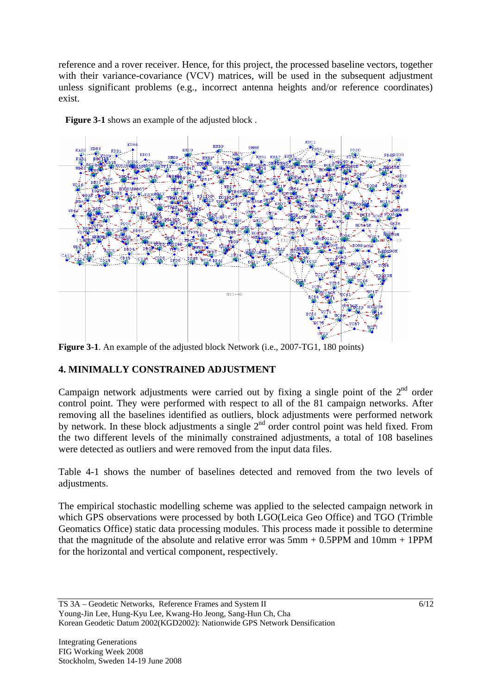reference and a rover receiver. Hence, for this project, the processed baseline vectors, together with their variance-covariance (VCV) matrices, will be used in the subsequent adjustment unless significant problems (e.g., incorrect antenna heights and/or reference coordinates) exist.



Figure 3-1 shows an example of the adjusted block.

**Figure 3-1**. An example of the adjusted block Network (i.e., 2007-TG1, 180 points)

# **4. MINIMALLY CONSTRAINED ADJUSTMENT**

Campaign network adjustments were carried out by fixing a single point of the  $2<sup>nd</sup>$  order control point. They were performed with respect to all of the 81 campaign networks. After removing all the baselines identified as outliers, block adjustments were performed network by network. In these block adjustments a single 2<sup>nd</sup> order control point was held fixed. From the two different levels of the minimally constrained adjustments, a total of 108 baselines were detected as outliers and were removed from the input data files.

Table 4-1 shows the number of baselines detected and removed from the two levels of adjustments.

The empirical stochastic modelling scheme was applied to the selected campaign network in which GPS observations were processed by both LGO(Leica Geo Office) and TGO (Trimble Geomatics Office) static data processing modules. This process made it possible to determine that the magnitude of the absolute and relative error was  $5mm + 0.5PPM$  and  $10mm + 1PPM$ for the horizontal and vertical component, respectively.

TS 3A – Geodetic Networks, Reference Frames and System II Young-Jin Lee, Hung-Kyu Lee, Kwang-Ho Jeong, Sang-Hun Ch, Cha Korean Geodetic Datum 2002(KGD2002): Nationwide GPS Network Densification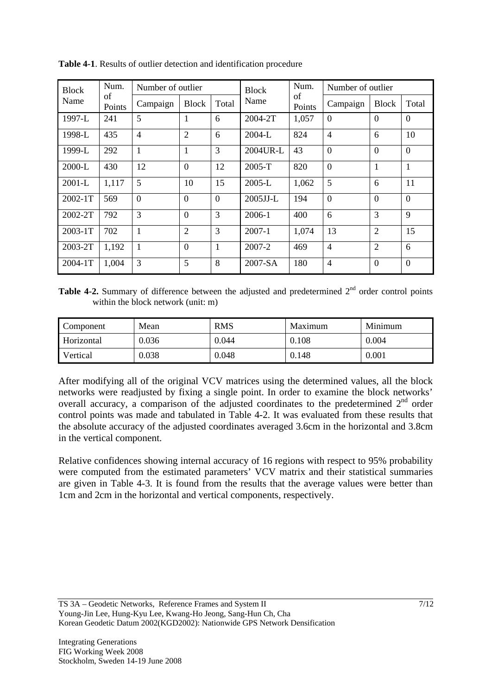| <b>Block</b><br>Name | Num.<br>of<br>Points | Number of outlier |                |                | <b>Block</b> | Num.         | Number of outlier |                |                |
|----------------------|----------------------|-------------------|----------------|----------------|--------------|--------------|-------------------|----------------|----------------|
|                      |                      | Campaign          | <b>Block</b>   | Total          | Name         | of<br>Points | Campaign          | <b>Block</b>   | Total          |
| 1997-L               | 241                  | 5                 | 1              | 6              | 2004-2T      | 1,057        | $\overline{0}$    | $\Omega$       | $\theta$       |
| 1998-L               | 435                  | $\overline{4}$    | $\overline{2}$ | 6              | $2004 - L$   | 824          | $\overline{4}$    | 6              | 10             |
| 1999-L               | 292                  | 1                 | 1              | 3              | 2004UR-L     | 43           | $\overline{0}$    | $\overline{0}$ | $\theta$       |
| $2000-L$             | 430                  | 12                | $\overline{0}$ | 12             | 2005-T       | 820          | $\overline{0}$    | $\mathbf{1}$   | $\mathbf{1}$   |
| $2001-L$             | 1,117                | 5                 | 10             | 15             | $2005-L$     | 1,062        | 5                 | 6              | 11             |
| $2002 - 1T$          | 569                  | $\overline{0}$    | $\Omega$       | $\Omega$       | $2005$ JJ-L  | 194          | $\overline{0}$    | $\overline{0}$ | $\overline{0}$ |
| $2002 - 2T$          | 792                  | 3                 | $\Omega$       | 3              | $2006-1$     | 400          | 6                 | $\overline{3}$ | 9              |
| 2003-1T              | 702                  | $\mathbf{1}$      | $\overline{2}$ | $\overline{3}$ | $2007 - 1$   | 1,074        | 13                | $\overline{2}$ | 15             |
| 2003-2T              | 1,192                | 1                 | $\theta$       | $\mathbf{1}$   | 2007-2       | 469          | $\overline{4}$    | $\overline{2}$ | 6              |
| $2004 - 1T$          | 1,004                | 3                 | 5              | 8              | $2007-SA$    | 180          | $\overline{4}$    | $\overline{0}$ | $\overline{0}$ |

**Table 4-1**. Results of outlier detection and identification procedure

**Table 4-2.** Summary of difference between the adjusted and predetermined 2<sup>nd</sup> order control points within the block network (unit: m)

| Component  | Mean  | <b>RMS</b> | Maximum | Minimum |  |
|------------|-------|------------|---------|---------|--|
| Horizontal | 0.036 | 0.044      | 0.108   | 0.004   |  |
| Vertical   | 0.038 | 0.048      | 0.148   | 0.001   |  |

After modifying all of the original VCV matrices using the determined values, all the block networks were readjusted by fixing a single point. In order to examine the block networks' overall accuracy, a comparison of the adjusted coordinates to the predetermined 2<sup>nd</sup> order control points was made and tabulated in Table 4-2. It was evaluated from these results that the absolute accuracy of the adjusted coordinates averaged 3.6cm in the horizontal and 3.8cm in the vertical component.

Relative confidences showing internal accuracy of 16 regions with respect to 95% probability were computed from the estimated parameters' VCV matrix and their statistical summaries are given in Table 4-3. It is found from the results that the average values were better than 1cm and 2cm in the horizontal and vertical components, respectively.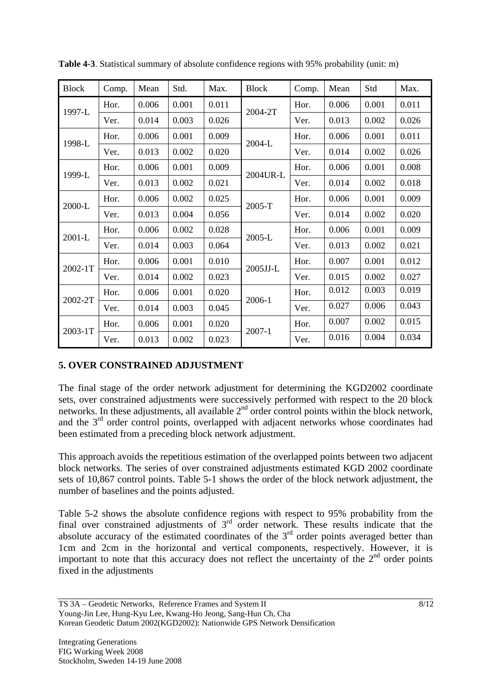| <b>Block</b> | Comp. | Mean  | Std.  | Max.  | <b>Block</b> | Comp. | Mean  | Std   | Max.  |
|--------------|-------|-------|-------|-------|--------------|-------|-------|-------|-------|
| 1997-L       | Hor.  | 0.006 | 0.001 | 0.011 | 2004-2T      | Hor.  | 0.006 | 0.001 | 0.011 |
|              | Ver.  | 0.014 | 0.003 | 0.026 |              | Ver.  | 0.013 | 0.002 | 0.026 |
| 1998-L       | Hor.  | 0.006 | 0.001 | 0.009 |              | Hor.  | 0.006 | 0.001 | 0.011 |
|              | Ver.  | 0.013 | 0.002 | 0.020 | 2004-L       | Ver.  | 0.014 | 0.002 | 0.026 |
| 1999-L       | Hor.  | 0.006 | 0.001 | 0.009 | 2004UR-L     | Hor.  | 0.006 | 0.001 | 0.008 |
|              | Ver.  | 0.013 | 0.002 | 0.021 |              | Ver.  | 0.014 | 0.002 | 0.018 |
| 2000-L       | Hor.  | 0.006 | 0.002 | 0.025 | 2005-T       | Hor.  | 0.006 | 0.001 | 0.009 |
|              | Ver.  | 0.013 | 0.004 | 0.056 |              | Ver.  | 0.014 | 0.002 | 0.020 |
|              | Hor.  | 0.006 | 0.002 | 0.028 | 2005-L       | Hor.  | 0.006 | 0.001 | 0.009 |
| 2001-L       | Ver.  | 0.014 | 0.003 | 0.064 |              | Ver.  | 0.013 | 0.002 | 0.021 |
| 2002-1T      | Hor.  | 0.006 | 0.001 | 0.010 | 2005JJ-L     | Hor.  | 0.007 | 0.001 | 0.012 |
|              | Ver.  | 0.014 | 0.002 | 0.023 |              | Ver.  | 0.015 | 0.002 | 0.027 |
| 2002-2T      | Hor.  | 0.006 | 0.001 | 0.020 | 2006-1       | Hor.  | 0.012 | 0.003 | 0.019 |
|              | Ver.  | 0.014 | 0.003 | 0.045 |              | Ver.  | 0.027 | 0.006 | 0.043 |
| 2003-1T      | Hor.  | 0.006 | 0.001 | 0.020 |              | Hor.  | 0.007 | 0.002 | 0.015 |
|              | Ver.  | 0.013 | 0.002 | 0.023 | $2007 - 1$   | Ver.  | 0.016 | 0.004 | 0.034 |

**Table 4-3**. Statistical summary of absolute confidence regions with 95% probability (unit: m)

## **5. OVER CONSTRAINED ADJUSTMENT**

The final stage of the order network adjustment for determining the KGD2002 coordinate sets, over constrained adjustments were successively performed with respect to the 20 block networks. In these adjustments, all available  $2<sup>nd</sup>$  order control points within the block network, and the  $3<sup>rd</sup>$  order control points, overlapped with adjacent networks whose coordinates had been estimated from a preceding block network adjustment.

This approach avoids the repetitious estimation of the overlapped points between two adjacent block networks. The series of over constrained adjustments estimated KGD 2002 coordinate sets of 10,867 control points. Table 5-1 shows the order of the block network adjustment, the number of baselines and the points adjusted.

Table 5-2 shows the absolute confidence regions with respect to 95% probability from the final over constrained adjustments of  $3<sup>rd</sup>$  order network. These results indicate that the absolute accuracy of the estimated coordinates of the  $3<sup>rd</sup>$  order points averaged better than 1cm and 2cm in the horizontal and vertical components, respectively. However, it is important to note that this accuracy does not reflect the uncertainty of the  $2<sup>nd</sup>$  order points fixed in the adjustments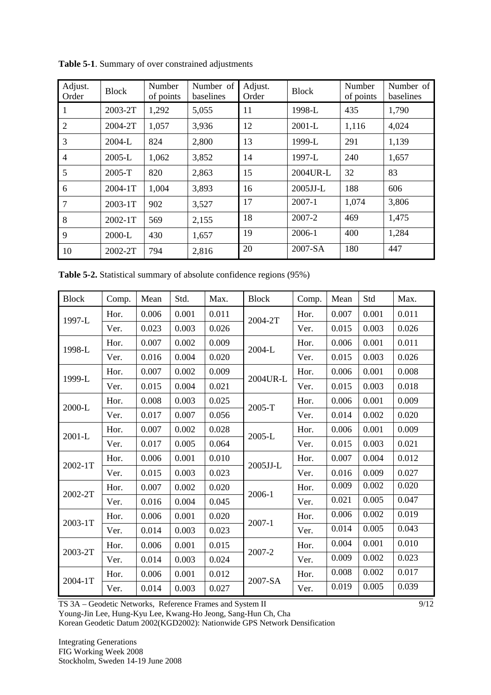| Adjust.<br>Order | <b>Block</b> | Number<br>of points | Number of<br>baselines | Adjust.<br>Order | <b>Block</b> | Number<br>of points | Number of<br>baselines |
|------------------|--------------|---------------------|------------------------|------------------|--------------|---------------------|------------------------|
| 1                | 2003-2T      | 1,292               | 5,055                  | 11               | 1998-L       | 435                 | 1,790                  |
| $\overline{2}$   | 2004-2T      | 1,057               | 3,936                  | 12               | $2001-L$     | 1,116               | 4,024                  |
| 3                | 2004-L       | 824                 | 2,800                  | 13               | 1999-L       | 291                 | 1,139                  |
| $\overline{4}$   | 2005-L       | 1,062               | 3,852                  | 14               | 1997-L       | 240                 | 1,657                  |
| 5                | 2005-T       | 820                 | 2,863                  | 15               | 2004UR-L     | 32                  | 83                     |
| 6                | 2004-1T      | 1,004               | 3,893                  | 16               | 2005JJ-L     | 188                 | 606                    |
| $\overline{7}$   | 2003-1T      | 902                 | 3,527                  | 17               | $2007 - 1$   | 1,074               | 3,806                  |
| 8                | 2002-1T      | 569                 | 2,155                  | 18               | 2007-2       | 469                 | 1,475                  |
| 9                | 2000-L       | 430                 | 1,657                  | 19               | 2006-1       | 400                 | 1,284                  |
| 10               | 2002-2T      | 794                 | 2,816                  | 20               | 2007-SA      | 180                 | 447                    |

**Table 5-1**. Summary of over constrained adjustments

**Table 5-2.** Statistical summary of absolute confidence regions (95%)

| <b>Block</b> | Comp. | Mean  | Std.  | Max.  | <b>Block</b> | Comp. | Mean  | Std   | Max.  |
|--------------|-------|-------|-------|-------|--------------|-------|-------|-------|-------|
| 1997-L       | Hor.  | 0.006 | 0.001 | 0.011 | 2004-2T      | Hor.  | 0.007 | 0.001 | 0.011 |
|              | Ver.  | 0.023 | 0.003 | 0.026 |              | Ver.  | 0.015 | 0.003 | 0.026 |
| 1998-L       | Hor.  | 0.007 | 0.002 | 0.009 | 2004-L       | Hor.  | 0.006 | 0.001 | 0.011 |
|              | Ver.  | 0.016 | 0.004 | 0.020 |              | Ver.  | 0.015 | 0.003 | 0.026 |
| 1999-L       | Hor.  | 0.007 | 0.002 | 0.009 | 2004UR-L     | Hor.  | 0.006 | 0.001 | 0.008 |
|              | Ver.  | 0.015 | 0.004 | 0.021 |              | Ver.  | 0.015 | 0.003 | 0.018 |
| 2000-L       | Hor.  | 0.008 | 0.003 | 0.025 | 2005-T       | Hor.  | 0.006 | 0.001 | 0.009 |
|              | Ver.  | 0.017 | 0.007 | 0.056 |              | Ver.  | 0.014 | 0.002 | 0.020 |
| 2001-L       | Hor.  | 0.007 | 0.002 | 0.028 | 2005-L       | Hor.  | 0.006 | 0.001 | 0.009 |
|              | Ver.  | 0.017 | 0.005 | 0.064 |              | Ver.  | 0.015 | 0.003 | 0.021 |
| 2002-1T      | Hor.  | 0.006 | 0.001 | 0.010 | 2005JJ-L     | Hor.  | 0.007 | 0.004 | 0.012 |
|              | Ver.  | 0.015 | 0.003 | 0.023 |              | Ver.  | 0.016 | 0.009 | 0.027 |
| 2002-2T      | Hor.  | 0.007 | 0.002 | 0.020 | 2006-1       | Hor.  | 0.009 | 0.002 | 0.020 |
|              | Ver.  | 0.016 | 0.004 | 0.045 |              | Ver.  | 0.021 | 0.005 | 0.047 |
|              | Hor.  | 0.006 | 0.001 | 0.020 | 2007-1       | Hor.  | 0.006 | 0.002 | 0.019 |
| 2003-1T      | Ver.  | 0.014 | 0.003 | 0.023 |              | Ver.  | 0.014 | 0.005 | 0.043 |
| 2003-2T      | Hor.  | 0.006 | 0.001 | 0.015 | 2007-2       | Hor.  | 0.004 | 0.001 | 0.010 |
|              | Ver.  | 0.014 | 0.003 | 0.024 |              | Ver.  | 0.009 | 0.002 | 0.023 |
| 2004-1T      | Hor.  | 0.006 | 0.001 | 0.012 | 2007-SA      | Hor.  | 0.008 | 0.002 | 0.017 |
|              | Ver.  | 0.014 | 0.003 | 0.027 |              | Ver.  | 0.019 | 0.005 | 0.039 |

TS 3A – Geodetic Networks, Reference Frames and System II

Young-Jin Lee, Hung-Kyu Lee, Kwang-Ho Jeong, Sang-Hun Ch, Cha

Korean Geodetic Datum 2002(KGD2002): Nationwide GPS Network Densification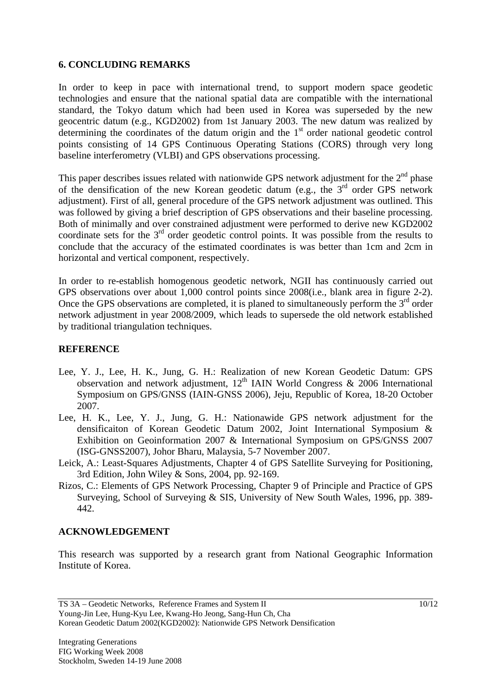#### **6. CONCLUDING REMARKS**

In order to keep in pace with international trend, to support modern space geodetic technologies and ensure that the national spatial data are compatible with the international standard, the Tokyo datum which had been used in Korea was superseded by the new geocentric datum (e.g., KGD2002) from 1st January 2003. The new datum was realized by determining the coordinates of the datum origin and the  $1<sup>st</sup>$  order national geodetic control points consisting of 14 GPS Continuous Operating Stations (CORS) through very long baseline interferometry (VLBI) and GPS observations processing.

This paper describes issues related with nationwide GPS network adjustment for the  $2<sup>nd</sup>$  phase of the densification of the new Korean geodetic datum (e.g., the 3<sup>rd</sup> order GPS network adjustment). First of all, general procedure of the GPS network adjustment was outlined. This was followed by giving a brief description of GPS observations and their baseline processing. Both of minimally and over constrained adjustment were performed to derive new KGD2002 coordinate sets for the  $3<sup>rd</sup>$  order geodetic control points. It was possible from the results to conclude that the accuracy of the estimated coordinates is was better than 1cm and 2cm in horizontal and vertical component, respectively.

In order to re-establish homogenous geodetic network, NGII has continuously carried out GPS observations over about 1,000 control points since 2008(i.e., blank area in figure 2-2). Once the GPS observations are completed, it is planed to simultaneously perform the  $3<sup>rd</sup>$  order network adjustment in year 2008/2009, which leads to supersede the old network established by traditional triangulation techniques.

### **REFERENCE**

- Lee, Y. J., Lee, H. K., Jung, G. H.: Realization of new Korean Geodetic Datum: GPS observation and network adjustment,  $12<sup>th</sup>$  IAIN World Congress & 2006 International Symposium on GPS/GNSS (IAIN-GNSS 2006), Jeju, Republic of Korea, 18-20 October 2007.
- Lee, H. K., Lee, Y. J., Jung, G. H.: Nationawide GPS network adjustment for the densificaiton of Korean Geodetic Datum 2002, Joint International Symposium & Exhibition on Geoinformation 2007 & International Symposium on GPS/GNSS 2007 (ISG-GNSS2007), Johor Bharu, Malaysia, 5-7 November 2007.
- Leick, A.: Least-Squares Adjustments, Chapter 4 of GPS Satellite Surveying for Positioning, 3rd Edition, John Wiley & Sons, 2004, pp. 92-169.
- Rizos, C.: Elements of GPS Network Processing, Chapter 9 of Principle and Practice of GPS Surveying, School of Surveying & SIS, University of New South Wales, 1996, pp. 389- 442.

### **ACKNOWLEDGEMENT**

This research was supported by a research grant from National Geographic Information Institute of Korea.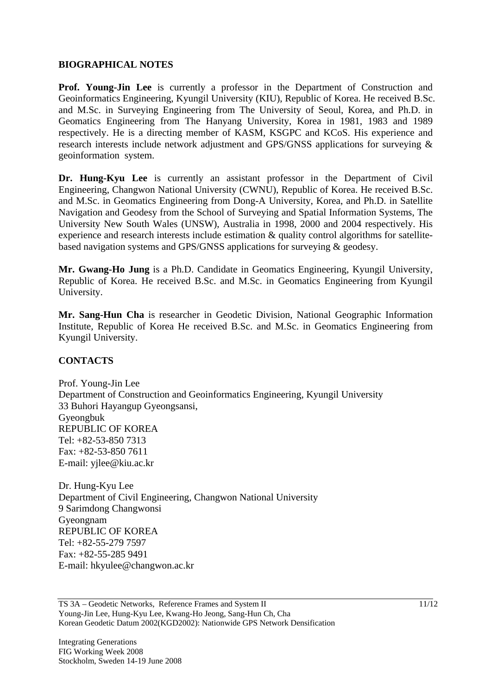#### **BIOGRAPHICAL NOTES**

**Prof. Young-Jin Lee** is currently a professor in the Department of Construction and Geoinformatics Engineering, Kyungil University (KIU), Republic of Korea. He received B.Sc. and M.Sc. in Surveying Engineering from The University of Seoul, Korea, and Ph.D. in Geomatics Engineering from The Hanyang University, Korea in 1981, 1983 and 1989 respectively. He is a directing member of KASM, KSGPC and KCoS. His experience and research interests include network adjustment and GPS/GNSS applications for surveying & geoinformation system.

**Dr. Hung-Kyu Lee** is currently an assistant professor in the Department of Civil Engineering, Changwon National University (CWNU), Republic of Korea. He received B.Sc. and M.Sc. in Geomatics Engineering from Dong-A University, Korea, and Ph.D. in Satellite Navigation and Geodesy from the School of Surveying and Spatial Information Systems, The University New South Wales (UNSW), Australia in 1998, 2000 and 2004 respectively. His experience and research interests include estimation & quality control algorithms for satellitebased navigation systems and GPS/GNSS applications for surveying & geodesy.

**Mr. Gwang-Ho Jung** is a Ph.D. Candidate in Geomatics Engineering, Kyungil University, Republic of Korea. He received B.Sc. and M.Sc. in Geomatics Engineering from Kyungil University.

**Mr. Sang-Hun Cha** is researcher in Geodetic Division, National Geographic Information Institute, Republic of Korea He received B.Sc. and M.Sc. in Geomatics Engineering from Kyungil University.

### **CONTACTS**

Prof. Young-Jin Lee Department of Construction and Geoinformatics Engineering, Kyungil University 33 Buhori Hayangup Gyeongsansi, Gyeongbuk REPUBLIC OF KOREA Tel: +82-53-850 7313 Fax: +82-53-850 7611 E-mail: yjlee@kiu.ac.kr

Dr. Hung-Kyu Lee Department of Civil Engineering, Changwon National University 9 Sarimdong Changwonsi Gyeongnam REPUBLIC OF KOREA Tel: +82-55-279 7597 Fax: +82-55-285 9491 E-mail: hkyulee@changwon.ac.kr